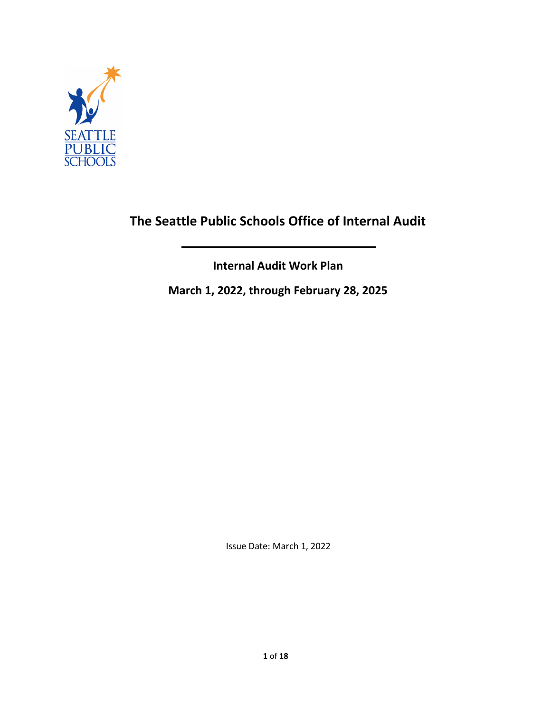

# **The Seattle Public Schools Office of Internal Audit**

**Internal Audit Work Plan**

**March 1, 2022, through February 28, 2025**

Issue Date: March 1, 2022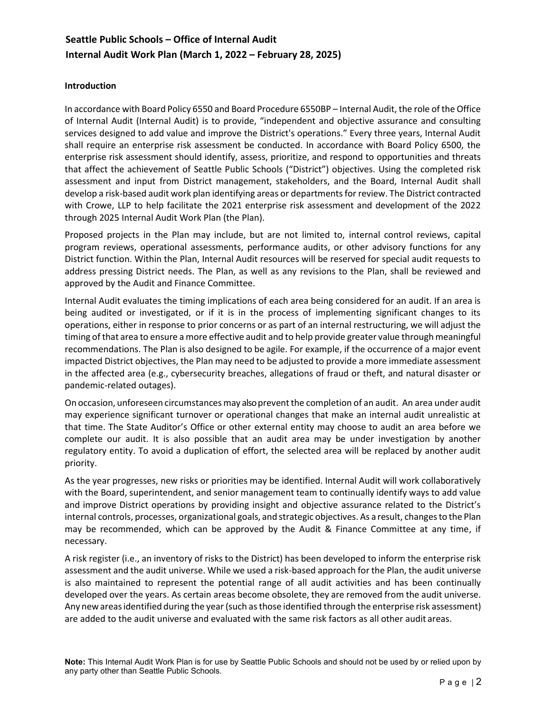#### **Introduction**

In accordance with Board Policy 6550 and Board Procedure 6550BP – Internal Audit, the role of the Office of Internal Audit (Internal Audit) is to provide, "independent and objective assurance and consulting services designed to add value and improve the District's operations." Every three years, Internal Audit shall require an enterprise risk assessment be conducted. In accordance with Board Policy 6500, the enterprise risk assessment should identify, assess, prioritize, and respond to opportunities and threats that affect the achievement of Seattle Public Schools ("District") objectives. Using the completed risk assessment and input from District management, stakeholders, and the Board, Internal Audit shall develop a risk-based audit work plan identifying areas or departments for review. The District contracted with Crowe, LLP to help facilitate the 2021 enterprise risk assessment and development of the 2022 through 2025 Internal Audit Work Plan (the Plan).

Proposed projects in the Plan may include, but are not limited to, internal control reviews, capital program reviews, operational assessments, performance audits, or other advisory functions for any District function. Within the Plan, Internal Audit resources will be reserved for special audit requests to address pressing District needs. The Plan, as well as any revisions to the Plan, shall be reviewed and approved by the Audit and Finance Committee.

Internal Audit evaluates the timing implications of each area being considered for an audit. If an area is being audited or investigated, or if it is in the process of implementing significant changes to its operations, either in response to prior concerns or as part of an internal restructuring, we will adjust the timing of that area to ensure a more effective audit and to help provide greater value through meaningful recommendations. The Plan is also designed to be agile. For example, if the occurrence of a major event impacted District objectives, the Plan may need to be adjusted to provide a more immediate assessment in the affected area (e.g., cybersecurity breaches, allegations of fraud or theft, and natural disaster or pandemic-related outages).

On occasion, unforeseen circumstancesmay also preventthe completion of an audit. An area under audit may experience significant turnover or operational changes that make an internal audit unrealistic at that time. The State Auditor's Office or other external entity may choose to audit an area before we complete our audit. It is also possible that an audit area may be under investigation by another regulatory entity. To avoid a duplication of effort, the selected area will be replaced by another audit priority.

As the year progresses, new risks or priorities may be identified. Internal Audit will work collaboratively with the Board, superintendent, and senior management team to continually identify ways to add value and improve District operations by providing insight and objective assurance related to the District's internal controls, processes, organizational goals, and strategic objectives. As a result, changes to the Plan may be recommended, which can be approved by the Audit & Finance Committee at any time, if necessary.

A risk register (i.e., an inventory of risks to the District) has been developed to inform the enterprise risk assessment and the audit universe. While we used a risk-based approach for the Plan, the audit universe is also maintained to represent the potential range of all audit activities and has been continually developed over the years. As certain areas become obsolete, they are removed from the audit universe. Any newareasidentified during the year (such as those identified through the enterprise risk assessment) are added to the audit universe and evaluated with the same risk factors as all other audit areas.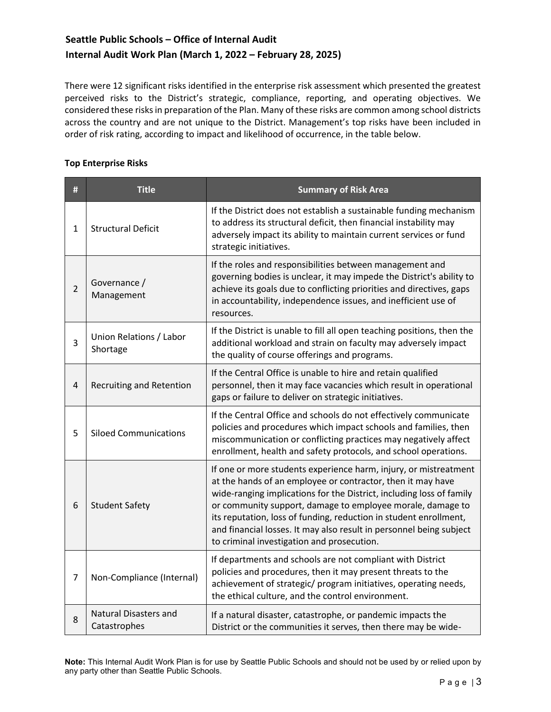There were 12 significant risks identified in the enterprise risk assessment which presented the greatest perceived risks to the District's strategic, compliance, reporting, and operating objectives. We considered these risks in preparation of the Plan. Many of these risks are common among school districts across the country and are not unique to the District. Management's top risks have been included in order of risk rating, according to impact and likelihood of occurrence, in the table below.

### **Top Enterprise Risks**

| #              | <b>Title</b>                                 | <b>Summary of Risk Area</b>                                                                                                                                                                                                                                                                                                                                                                                                                                     |
|----------------|----------------------------------------------|-----------------------------------------------------------------------------------------------------------------------------------------------------------------------------------------------------------------------------------------------------------------------------------------------------------------------------------------------------------------------------------------------------------------------------------------------------------------|
| 1              | <b>Structural Deficit</b>                    | If the District does not establish a sustainable funding mechanism<br>to address its structural deficit, then financial instability may<br>adversely impact its ability to maintain current services or fund<br>strategic initiatives.                                                                                                                                                                                                                          |
| $\overline{2}$ | Governance /<br>Management                   | If the roles and responsibilities between management and<br>governing bodies is unclear, it may impede the District's ability to<br>achieve its goals due to conflicting priorities and directives, gaps<br>in accountability, independence issues, and inefficient use of<br>resources.                                                                                                                                                                        |
| 3              | Union Relations / Labor<br>Shortage          | If the District is unable to fill all open teaching positions, then the<br>additional workload and strain on faculty may adversely impact<br>the quality of course offerings and programs.                                                                                                                                                                                                                                                                      |
| 4              | <b>Recruiting and Retention</b>              | If the Central Office is unable to hire and retain qualified<br>personnel, then it may face vacancies which result in operational<br>gaps or failure to deliver on strategic initiatives.                                                                                                                                                                                                                                                                       |
| 5              | <b>Siloed Communications</b>                 | If the Central Office and schools do not effectively communicate<br>policies and procedures which impact schools and families, then<br>miscommunication or conflicting practices may negatively affect<br>enrollment, health and safety protocols, and school operations.                                                                                                                                                                                       |
| 6              | <b>Student Safety</b>                        | If one or more students experience harm, injury, or mistreatment<br>at the hands of an employee or contractor, then it may have<br>wide-ranging implications for the District, including loss of family<br>or community support, damage to employee morale, damage to<br>its reputation, loss of funding, reduction in student enrollment,<br>and financial losses. It may also result in personnel being subject<br>to criminal investigation and prosecution. |
| $\overline{7}$ | Non-Compliance (Internal)                    | If departments and schools are not compliant with District<br>policies and procedures, then it may present threats to the<br>achievement of strategic/ program initiatives, operating needs,<br>the ethical culture, and the control environment.                                                                                                                                                                                                               |
| 8              | <b>Natural Disasters and</b><br>Catastrophes | If a natural disaster, catastrophe, or pandemic impacts the<br>District or the communities it serves, then there may be wide-                                                                                                                                                                                                                                                                                                                                   |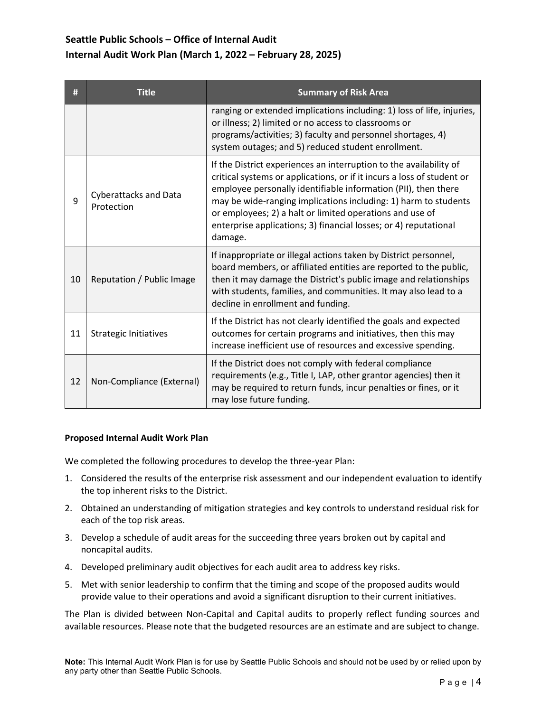| #  | <b>Title</b>                               | <b>Summary of Risk Area</b>                                                                                                                                                                                                                                                                                                                                                                                                  |
|----|--------------------------------------------|------------------------------------------------------------------------------------------------------------------------------------------------------------------------------------------------------------------------------------------------------------------------------------------------------------------------------------------------------------------------------------------------------------------------------|
|    |                                            | ranging or extended implications including: 1) loss of life, injuries,<br>or illness; 2) limited or no access to classrooms or<br>programs/activities; 3) faculty and personnel shortages, 4)<br>system outages; and 5) reduced student enrollment.                                                                                                                                                                          |
| 9  | <b>Cyberattacks and Data</b><br>Protection | If the District experiences an interruption to the availability of<br>critical systems or applications, or if it incurs a loss of student or<br>employee personally identifiable information (PII), then there<br>may be wide-ranging implications including: 1) harm to students<br>or employees; 2) a halt or limited operations and use of<br>enterprise applications; 3) financial losses; or 4) reputational<br>damage. |
| 10 | Reputation / Public Image                  | If inappropriate or illegal actions taken by District personnel,<br>board members, or affiliated entities are reported to the public,<br>then it may damage the District's public image and relationships<br>with students, families, and communities. It may also lead to a<br>decline in enrollment and funding.                                                                                                           |
| 11 | <b>Strategic Initiatives</b>               | If the District has not clearly identified the goals and expected<br>outcomes for certain programs and initiatives, then this may<br>increase inefficient use of resources and excessive spending.                                                                                                                                                                                                                           |
| 12 | Non-Compliance (External)                  | If the District does not comply with federal compliance<br>requirements (e.g., Title I, LAP, other grantor agencies) then it<br>may be required to return funds, incur penalties or fines, or it<br>may lose future funding.                                                                                                                                                                                                 |

#### **Proposed Internal Audit Work Plan**

We completed the following procedures to develop the three-year Plan:

- 1. Considered the results of the enterprise risk assessment and our independent evaluation to identify the top inherent risks to the District.
- 2. Obtained an understanding of mitigation strategies and key controls to understand residual risk for each of the top risk areas.
- 3. Develop a schedule of audit areas for the succeeding three years broken out by capital and noncapital audits.
- 4. Developed preliminary audit objectives for each audit area to address key risks.
- 5. Met with senior leadership to confirm that the timing and scope of the proposed audits would provide value to their operations and avoid a significant disruption to their current initiatives.

The Plan is divided between Non-Capital and Capital audits to properly reflect funding sources and available resources. Please note that the budgeted resources are an estimate and are subject to change.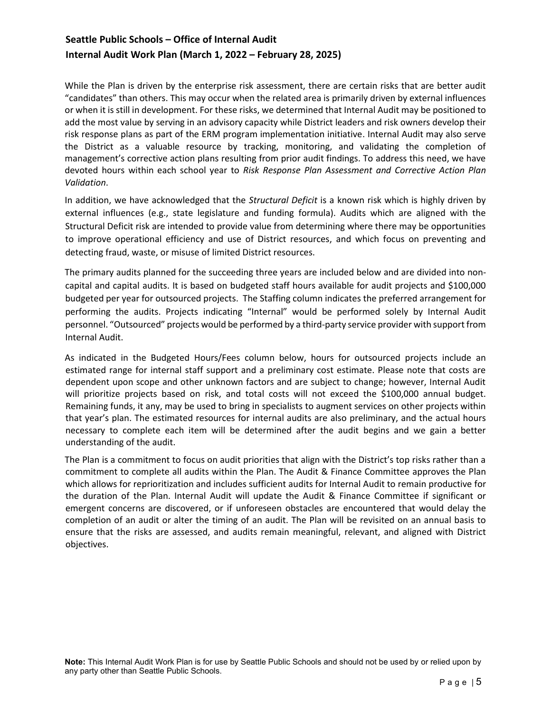While the Plan is driven by the enterprise risk assessment, there are certain risks that are better audit "candidates" than others. This may occur when the related area is primarily driven by external influences or when it is still in development. For these risks, we determined that Internal Audit may be positioned to add the most value by serving in an advisory capacity while District leaders and risk owners develop their risk response plans as part of the ERM program implementation initiative. Internal Audit may also serve the District as a valuable resource by tracking, monitoring, and validating the completion of management's corrective action plans resulting from prior audit findings. To address this need, we have devoted hours within each school year to *Risk Response Plan Assessment and Corrective Action Plan Validation*.

In addition, we have acknowledged that the *Structural Deficit* is a known risk which is highly driven by external influences (e.g., state legislature and funding formula). Audits which are aligned with the Structural Deficit risk are intended to provide value from determining where there may be opportunities to improve operational efficiency and use of District resources, and which focus on preventing and detecting fraud, waste, or misuse of limited District resources.

The primary audits planned for the succeeding three years are included below and are divided into noncapital and capital audits. It is based on budgeted staff hours available for audit projects and \$100,000 budgeted per year for outsourced projects. The Staffing column indicates the preferred arrangement for performing the audits. Projects indicating "Internal" would be performed solely by Internal Audit personnel. "Outsourced" projects would be performed by a third-party service provider with support from Internal Audit.

As indicated in the Budgeted Hours/Fees column below, hours for outsourced projects include an estimated range for internal staff support and a preliminary cost estimate. Please note that costs are dependent upon scope and other unknown factors and are subject to change; however, Internal Audit will prioritize projects based on risk, and total costs will not exceed the \$100,000 annual budget. Remaining funds, it any, may be used to bring in specialists to augment services on other projects within that year's plan. The estimated resources for internal audits are also preliminary, and the actual hours necessary to complete each item will be determined after the audit begins and we gain a better understanding of the audit.

The Plan is a commitment to focus on audit priorities that align with the District's top risks rather than a commitment to complete all audits within the Plan. The Audit & Finance Committee approves the Plan which allows for reprioritization and includes sufficient audits for Internal Audit to remain productive for the duration of the Plan. Internal Audit will update the Audit & Finance Committee if significant or emergent concerns are discovered, or if unforeseen obstacles are encountered that would delay the completion of an audit or alter the timing of an audit. The Plan will be revisited on an annual basis to ensure that the risks are assessed, and audits remain meaningful, relevant, and aligned with District objectives.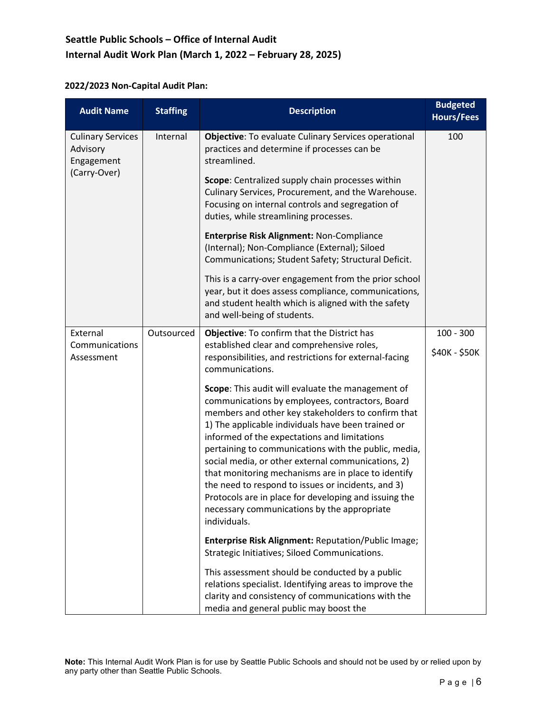### **2022/2023 Non-Capital Audit Plan:**

| <b>Audit Name</b>                                                  | <b>Staffing</b> | <b>Description</b>                                                                                                                                                                                                                                                                                                                                                                                                                                                                                                                                                                                                  | <b>Budgeted</b><br><b>Hours/Fees</b> |
|--------------------------------------------------------------------|-----------------|---------------------------------------------------------------------------------------------------------------------------------------------------------------------------------------------------------------------------------------------------------------------------------------------------------------------------------------------------------------------------------------------------------------------------------------------------------------------------------------------------------------------------------------------------------------------------------------------------------------------|--------------------------------------|
| <b>Culinary Services</b><br>Advisory<br>Engagement<br>(Carry-Over) | Internal        | Objective: To evaluate Culinary Services operational<br>practices and determine if processes can be<br>streamlined.                                                                                                                                                                                                                                                                                                                                                                                                                                                                                                 | 100                                  |
|                                                                    |                 | Scope: Centralized supply chain processes within<br>Culinary Services, Procurement, and the Warehouse.<br>Focusing on internal controls and segregation of<br>duties, while streamlining processes.                                                                                                                                                                                                                                                                                                                                                                                                                 |                                      |
|                                                                    |                 | Enterprise Risk Alignment: Non-Compliance<br>(Internal); Non-Compliance (External); Siloed<br>Communications; Student Safety; Structural Deficit.                                                                                                                                                                                                                                                                                                                                                                                                                                                                   |                                      |
|                                                                    |                 | This is a carry-over engagement from the prior school<br>year, but it does assess compliance, communications,<br>and student health which is aligned with the safety<br>and well-being of students.                                                                                                                                                                                                                                                                                                                                                                                                                 |                                      |
| External                                                           | Outsourced      | Objective: To confirm that the District has                                                                                                                                                                                                                                                                                                                                                                                                                                                                                                                                                                         | $100 - 300$                          |
| Communications<br>Assessment                                       |                 | established clear and comprehensive roles,<br>responsibilities, and restrictions for external-facing<br>communications.                                                                                                                                                                                                                                                                                                                                                                                                                                                                                             | \$40K - \$50K                        |
|                                                                    |                 | Scope: This audit will evaluate the management of<br>communications by employees, contractors, Board<br>members and other key stakeholders to confirm that<br>1) The applicable individuals have been trained or<br>informed of the expectations and limitations<br>pertaining to communications with the public, media,<br>social media, or other external communications, 2)<br>that monitoring mechanisms are in place to identify<br>the need to respond to issues or incidents, and 3)<br>Protocols are in place for developing and issuing the<br>necessary communications by the appropriate<br>individuals. |                                      |
|                                                                    |                 | <b>Enterprise Risk Alignment: Reputation/Public Image;</b><br>Strategic Initiatives; Siloed Communications.                                                                                                                                                                                                                                                                                                                                                                                                                                                                                                         |                                      |
|                                                                    |                 | This assessment should be conducted by a public<br>relations specialist. Identifying areas to improve the<br>clarity and consistency of communications with the<br>media and general public may boost the                                                                                                                                                                                                                                                                                                                                                                                                           |                                      |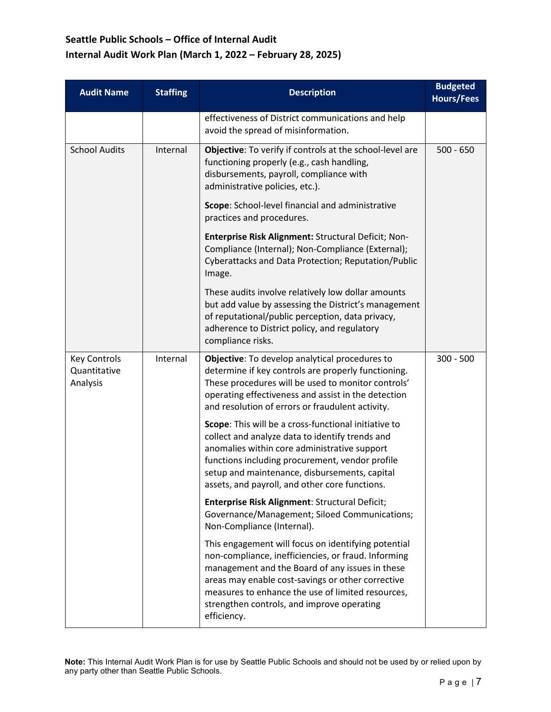| <b>Audit Name</b>                               | <b>Staffing</b> | <b>Description</b>                                                                                                                                                                                                                                                                                                                   | <b>Budgeted</b><br><b>Hours/Fees</b> |
|-------------------------------------------------|-----------------|--------------------------------------------------------------------------------------------------------------------------------------------------------------------------------------------------------------------------------------------------------------------------------------------------------------------------------------|--------------------------------------|
|                                                 |                 | effectiveness of District communications and help<br>avoid the spread of misinformation.                                                                                                                                                                                                                                             |                                      |
| <b>School Audits</b>                            | Internal        | Objective: To verify if controls at the school-level are<br>functioning properly (e.g., cash handling,<br>disbursements, payroll, compliance with<br>administrative policies, etc.).                                                                                                                                                 | $500 - 650$                          |
|                                                 |                 | Scope: School-level financial and administrative<br>practices and procedures.                                                                                                                                                                                                                                                        |                                      |
|                                                 |                 | Enterprise Risk Alignment: Structural Deficit; Non-<br>Compliance (Internal); Non-Compliance (External);<br>Cyberattacks and Data Protection; Reputation/Public<br>Image.                                                                                                                                                            |                                      |
|                                                 |                 | These audits involve relatively low dollar amounts<br>but add value by assessing the District's management<br>of reputational/public perception, data privacy,<br>adherence to District policy, and regulatory<br>compliance risks.                                                                                                  |                                      |
| <b>Key Controls</b><br>Quantitative<br>Analysis | Internal        | Objective: To develop analytical procedures to<br>determine if key controls are properly functioning.<br>These procedures will be used to monitor controls'<br>operating effectiveness and assist in the detection<br>and resolution of errors or fraudulent activity.                                                               | $300 - 500$                          |
|                                                 |                 | Scope: This will be a cross-functional initiative to<br>collect and analyze data to identify trends and<br>anomalies within core administrative support<br>functions including procurement, vendor profile<br>setup and maintenance, disbursements, capital<br>assets, and payroll, and other core functions.                        |                                      |
|                                                 |                 | Enterprise Risk Alignment: Structural Deficit;<br>Governance/Management; Siloed Communications;<br>Non-Compliance (Internal).                                                                                                                                                                                                        |                                      |
|                                                 |                 | This engagement will focus on identifying potential<br>non-compliance, inefficiencies, or fraud. Informing<br>management and the Board of any issues in these<br>areas may enable cost-savings or other corrective<br>measures to enhance the use of limited resources,<br>strengthen controls, and improve operating<br>efficiency. |                                      |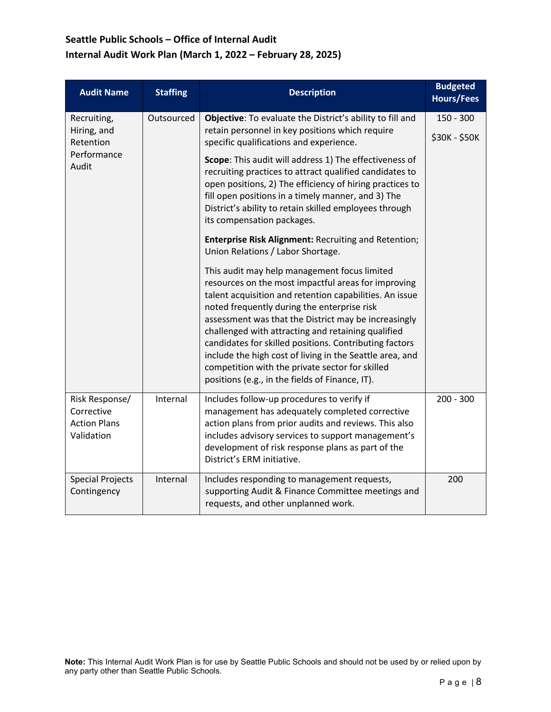| <b>Audit Name</b>                                                 | <b>Staffing</b>                                                                                                                                                                                                                                                                                                                                                                                                                       | <b>Description</b>                                                                                                                                                                                                                                                                                                                                                                                                                                                                                                                                                                           | <b>Budgeted</b><br><b>Hours/Fees</b> |
|-------------------------------------------------------------------|---------------------------------------------------------------------------------------------------------------------------------------------------------------------------------------------------------------------------------------------------------------------------------------------------------------------------------------------------------------------------------------------------------------------------------------|----------------------------------------------------------------------------------------------------------------------------------------------------------------------------------------------------------------------------------------------------------------------------------------------------------------------------------------------------------------------------------------------------------------------------------------------------------------------------------------------------------------------------------------------------------------------------------------------|--------------------------------------|
| Recruiting,<br>Hiring, and                                        | Outsourced                                                                                                                                                                                                                                                                                                                                                                                                                            | Objective: To evaluate the District's ability to fill and<br>retain personnel in key positions which require                                                                                                                                                                                                                                                                                                                                                                                                                                                                                 | $150 - 300$                          |
| Retention<br>Performance<br>Audit                                 | specific qualifications and experience.<br>Scope: This audit will address 1) The effectiveness of<br>recruiting practices to attract qualified candidates to<br>open positions, 2) The efficiency of hiring practices to<br>fill open positions in a timely manner, and 3) The<br>District's ability to retain skilled employees through<br>its compensation packages.<br><b>Enterprise Risk Alignment: Recruiting and Retention;</b> | \$30K - \$50K                                                                                                                                                                                                                                                                                                                                                                                                                                                                                                                                                                                |                                      |
|                                                                   |                                                                                                                                                                                                                                                                                                                                                                                                                                       | Union Relations / Labor Shortage.<br>This audit may help management focus limited<br>resources on the most impactful areas for improving<br>talent acquisition and retention capabilities. An issue<br>noted frequently during the enterprise risk<br>assessment was that the District may be increasingly<br>challenged with attracting and retaining qualified<br>candidates for skilled positions. Contributing factors<br>include the high cost of living in the Seattle area, and<br>competition with the private sector for skilled<br>positions (e.g., in the fields of Finance, IT). |                                      |
| Risk Response/<br>Corrective<br><b>Action Plans</b><br>Validation | Internal                                                                                                                                                                                                                                                                                                                                                                                                                              | Includes follow-up procedures to verify if<br>management has adequately completed corrective<br>action plans from prior audits and reviews. This also<br>includes advisory services to support management's<br>development of risk response plans as part of the<br>District's ERM initiative.                                                                                                                                                                                                                                                                                               | $200 - 300$                          |
| <b>Special Projects</b><br>Contingency                            | Internal                                                                                                                                                                                                                                                                                                                                                                                                                              | Includes responding to management requests,<br>supporting Audit & Finance Committee meetings and<br>requests, and other unplanned work.                                                                                                                                                                                                                                                                                                                                                                                                                                                      | 200                                  |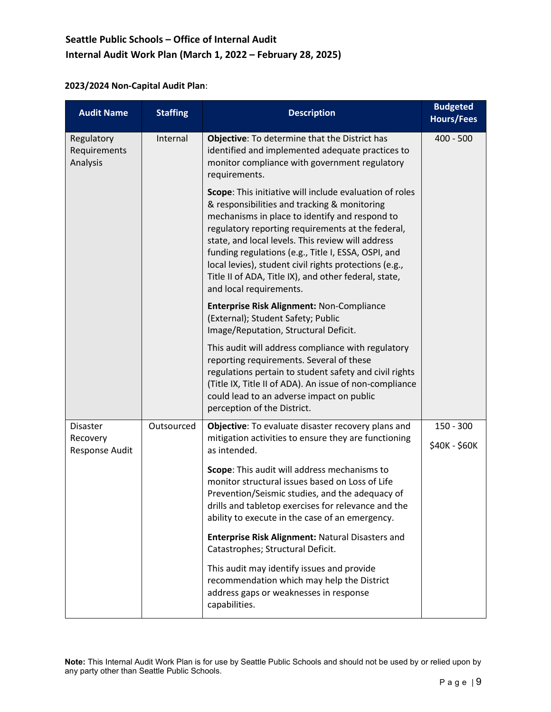### **2023/2024 Non-Capital Audit Plan**:

| <b>Audit Name</b>                             | <b>Staffing</b> | <b>Description</b>                                                                                                                                                                                                                                                                                                                                                                                                                                                       | <b>Budgeted</b><br><b>Hours/Fees</b> |
|-----------------------------------------------|-----------------|--------------------------------------------------------------------------------------------------------------------------------------------------------------------------------------------------------------------------------------------------------------------------------------------------------------------------------------------------------------------------------------------------------------------------------------------------------------------------|--------------------------------------|
| Regulatory<br>Requirements<br>Analysis        | Internal        | Objective: To determine that the District has<br>identified and implemented adequate practices to<br>monitor compliance with government regulatory<br>requirements.                                                                                                                                                                                                                                                                                                      | $400 - 500$                          |
|                                               |                 | Scope: This initiative will include evaluation of roles<br>& responsibilities and tracking & monitoring<br>mechanisms in place to identify and respond to<br>regulatory reporting requirements at the federal,<br>state, and local levels. This review will address<br>funding regulations (e.g., Title I, ESSA, OSPI, and<br>local levies), student civil rights protections (e.g.,<br>Title II of ADA, Title IX), and other federal, state,<br>and local requirements. |                                      |
|                                               |                 | Enterprise Risk Alignment: Non-Compliance<br>(External); Student Safety; Public<br>Image/Reputation, Structural Deficit.                                                                                                                                                                                                                                                                                                                                                 |                                      |
|                                               |                 | This audit will address compliance with regulatory<br>reporting requirements. Several of these<br>regulations pertain to student safety and civil rights<br>(Title IX, Title II of ADA). An issue of non-compliance<br>could lead to an adverse impact on public<br>perception of the District.                                                                                                                                                                          |                                      |
| <b>Disaster</b><br>Recovery<br>Response Audit | Outsourced      | Objective: To evaluate disaster recovery plans and<br>mitigation activities to ensure they are functioning<br>as intended.                                                                                                                                                                                                                                                                                                                                               | $150 - 300$<br>\$40K - \$60K         |
|                                               |                 | Scope: This audit will address mechanisms to<br>monitor structural issues based on Loss of Life<br>Prevention/Seismic studies, and the adequacy of<br>drills and tabletop exercises for relevance and the<br>ability to execute in the case of an emergency.                                                                                                                                                                                                             |                                      |
|                                               |                 | Enterprise Risk Alignment: Natural Disasters and<br>Catastrophes; Structural Deficit.                                                                                                                                                                                                                                                                                                                                                                                    |                                      |
|                                               |                 | This audit may identify issues and provide<br>recommendation which may help the District<br>address gaps or weaknesses in response<br>capabilities.                                                                                                                                                                                                                                                                                                                      |                                      |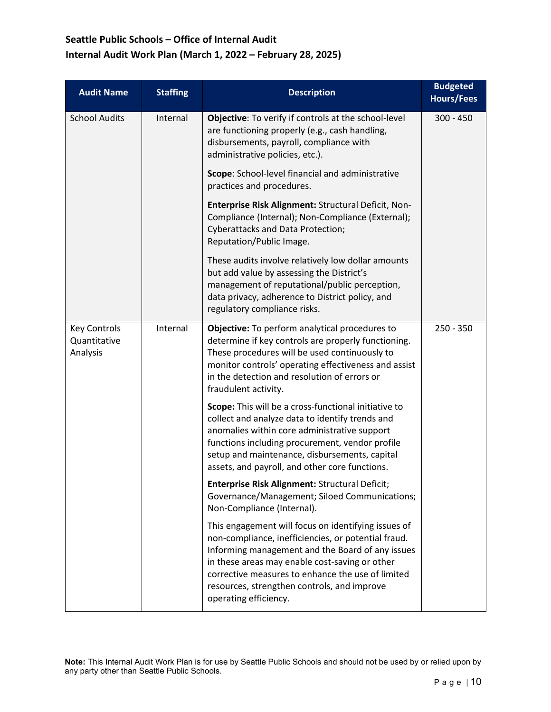| <b>Audit Name</b>                               | <b>Staffing</b> | <b>Description</b>                                                                                                                                                                                                                                                                                                                            | <b>Budgeted</b><br><b>Hours/Fees</b> |
|-------------------------------------------------|-----------------|-----------------------------------------------------------------------------------------------------------------------------------------------------------------------------------------------------------------------------------------------------------------------------------------------------------------------------------------------|--------------------------------------|
| <b>School Audits</b>                            | Internal        | Objective: To verify if controls at the school-level<br>are functioning properly (e.g., cash handling,<br>disbursements, payroll, compliance with<br>administrative policies, etc.).                                                                                                                                                          | $300 - 450$                          |
|                                                 |                 | Scope: School-level financial and administrative<br>practices and procedures.                                                                                                                                                                                                                                                                 |                                      |
|                                                 |                 | Enterprise Risk Alignment: Structural Deficit, Non-<br>Compliance (Internal); Non-Compliance (External);<br><b>Cyberattacks and Data Protection;</b><br>Reputation/Public Image.                                                                                                                                                              |                                      |
|                                                 |                 | These audits involve relatively low dollar amounts<br>but add value by assessing the District's<br>management of reputational/public perception,<br>data privacy, adherence to District policy, and<br>regulatory compliance risks.                                                                                                           |                                      |
| <b>Key Controls</b><br>Quantitative<br>Analysis | Internal        | Objective: To perform analytical procedures to<br>determine if key controls are properly functioning.<br>These procedures will be used continuously to<br>monitor controls' operating effectiveness and assist<br>in the detection and resolution of errors or<br>fraudulent activity.                                                        | $250 - 350$                          |
|                                                 |                 | Scope: This will be a cross-functional initiative to<br>collect and analyze data to identify trends and<br>anomalies within core administrative support<br>functions including procurement, vendor profile<br>setup and maintenance, disbursements, capital<br>assets, and payroll, and other core functions.                                 |                                      |
|                                                 |                 | Enterprise Risk Alignment: Structural Deficit;<br>Governance/Management; Siloed Communications;<br>Non-Compliance (Internal).                                                                                                                                                                                                                 |                                      |
|                                                 |                 | This engagement will focus on identifying issues of<br>non-compliance, inefficiencies, or potential fraud.<br>Informing management and the Board of any issues<br>in these areas may enable cost-saving or other<br>corrective measures to enhance the use of limited<br>resources, strengthen controls, and improve<br>operating efficiency. |                                      |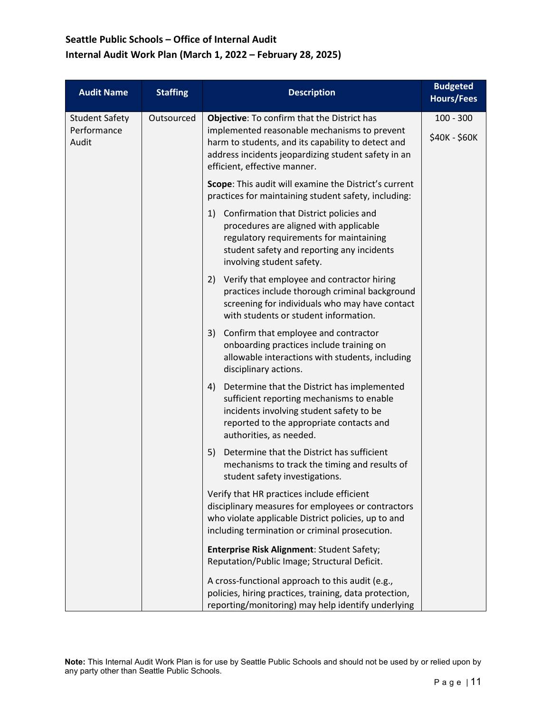| <b>Audit Name</b>                             | <b>Staffing</b> | <b>Description</b>                                                                                                                                                                                                                       | <b>Budgeted</b><br><b>Hours/Fees</b> |
|-----------------------------------------------|-----------------|------------------------------------------------------------------------------------------------------------------------------------------------------------------------------------------------------------------------------------------|--------------------------------------|
| <b>Student Safety</b><br>Performance<br>Audit | Outsourced      | Objective: To confirm that the District has<br>implemented reasonable mechanisms to prevent<br>harm to students, and its capability to detect and<br>address incidents jeopardizing student safety in an<br>efficient, effective manner. | $100 - 300$<br>\$40K - \$60K         |
|                                               |                 | Scope: This audit will examine the District's current<br>practices for maintaining student safety, including:                                                                                                                            |                                      |
|                                               |                 | Confirmation that District policies and<br>1)<br>procedures are aligned with applicable<br>regulatory requirements for maintaining<br>student safety and reporting any incidents<br>involving student safety.                            |                                      |
|                                               |                 | Verify that employee and contractor hiring<br>2)<br>practices include thorough criminal background<br>screening for individuals who may have contact<br>with students or student information.                                            |                                      |
|                                               |                 | Confirm that employee and contractor<br>3)<br>onboarding practices include training on<br>allowable interactions with students, including<br>disciplinary actions.                                                                       |                                      |
|                                               |                 | Determine that the District has implemented<br>4)<br>sufficient reporting mechanisms to enable<br>incidents involving student safety to be<br>reported to the appropriate contacts and<br>authorities, as needed.                        |                                      |
|                                               |                 | Determine that the District has sufficient<br>5)<br>mechanisms to track the timing and results of<br>student safety investigations.                                                                                                      |                                      |
|                                               |                 | Verify that HR practices include efficient<br>disciplinary measures for employees or contractors<br>who violate applicable District policies, up to and<br>including termination or criminal prosecution.                                |                                      |
|                                               |                 | Enterprise Risk Alignment: Student Safety;<br>Reputation/Public Image; Structural Deficit.                                                                                                                                               |                                      |
|                                               |                 | A cross-functional approach to this audit (e.g.,<br>policies, hiring practices, training, data protection,<br>reporting/monitoring) may help identify underlying                                                                         |                                      |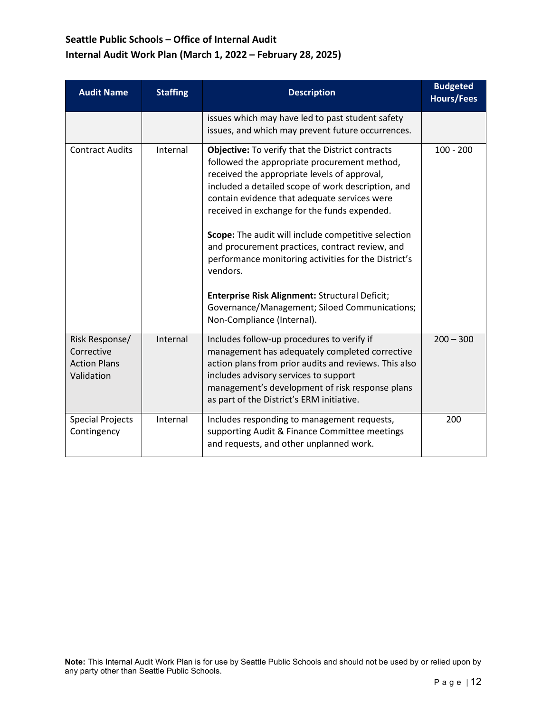| <b>Audit Name</b>                                                 | <b>Staffing</b> | <b>Description</b>                                                                                                                                                                                                                                                                                                                                                                                                                                                                                                                                                                                                           | <b>Budgeted</b><br><b>Hours/Fees</b> |
|-------------------------------------------------------------------|-----------------|------------------------------------------------------------------------------------------------------------------------------------------------------------------------------------------------------------------------------------------------------------------------------------------------------------------------------------------------------------------------------------------------------------------------------------------------------------------------------------------------------------------------------------------------------------------------------------------------------------------------------|--------------------------------------|
|                                                                   |                 | issues which may have led to past student safety<br>issues, and which may prevent future occurrences.                                                                                                                                                                                                                                                                                                                                                                                                                                                                                                                        |                                      |
| <b>Contract Audits</b>                                            | Internal        | <b>Objective:</b> To verify that the District contracts<br>followed the appropriate procurement method,<br>received the appropriate levels of approval,<br>included a detailed scope of work description, and<br>contain evidence that adequate services were<br>received in exchange for the funds expended.<br>Scope: The audit will include competitive selection<br>and procurement practices, contract review, and<br>performance monitoring activities for the District's<br>vendors.<br>Enterprise Risk Alignment: Structural Deficit;<br>Governance/Management; Siloed Communications;<br>Non-Compliance (Internal). | $100 - 200$                          |
| Risk Response/<br>Corrective<br><b>Action Plans</b><br>Validation | Internal        | Includes follow-up procedures to verify if<br>management has adequately completed corrective<br>action plans from prior audits and reviews. This also<br>includes advisory services to support<br>management's development of risk response plans<br>as part of the District's ERM initiative.                                                                                                                                                                                                                                                                                                                               | $200 - 300$                          |
| <b>Special Projects</b><br>Contingency                            | Internal        | Includes responding to management requests,<br>supporting Audit & Finance Committee meetings<br>and requests, and other unplanned work.                                                                                                                                                                                                                                                                                                                                                                                                                                                                                      | 200                                  |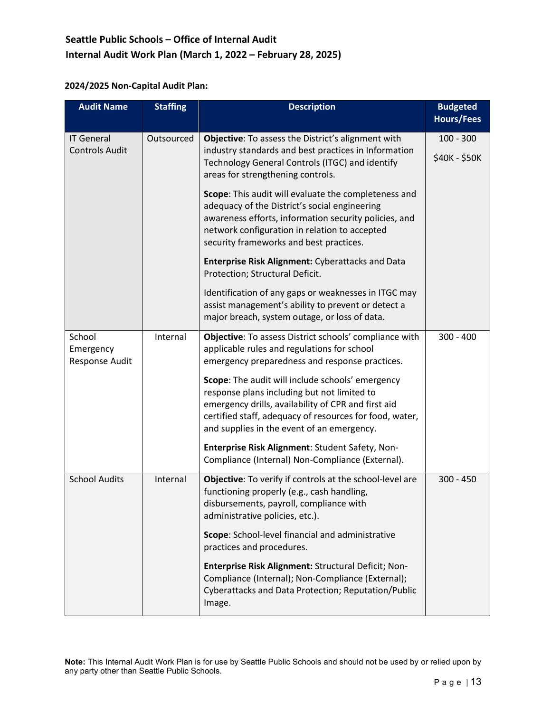### **2024/2025 Non-Capital Audit Plan:**

| <b>Audit Name</b>                          | <b>Staffing</b> | <b>Description</b>                                                                                                                                                                                                                                              | <b>Budgeted</b><br><b>Hours/Fees</b> |
|--------------------------------------------|-----------------|-----------------------------------------------------------------------------------------------------------------------------------------------------------------------------------------------------------------------------------------------------------------|--------------------------------------|
| <b>IT General</b><br><b>Controls Audit</b> | Outsourced      | Objective: To assess the District's alignment with<br>industry standards and best practices in Information<br>Technology General Controls (ITGC) and identify<br>areas for strengthening controls.                                                              | $100 - 300$<br>\$40K - \$50K         |
|                                            |                 | Scope: This audit will evaluate the completeness and<br>adequacy of the District's social engineering<br>awareness efforts, information security policies, and<br>network configuration in relation to accepted<br>security frameworks and best practices.      |                                      |
|                                            |                 | <b>Enterprise Risk Alignment: Cyberattacks and Data</b><br>Protection; Structural Deficit.                                                                                                                                                                      |                                      |
|                                            |                 | Identification of any gaps or weaknesses in ITGC may<br>assist management's ability to prevent or detect a<br>major breach, system outage, or loss of data.                                                                                                     |                                      |
| School<br>Emergency<br>Response Audit      | Internal        | Objective: To assess District schools' compliance with<br>applicable rules and regulations for school<br>emergency preparedness and response practices.                                                                                                         | $300 - 400$                          |
|                                            |                 | Scope: The audit will include schools' emergency<br>response plans including but not limited to<br>emergency drills, availability of CPR and first aid<br>certified staff, adequacy of resources for food, water,<br>and supplies in the event of an emergency. |                                      |
|                                            |                 | Enterprise Risk Alignment: Student Safety, Non-<br>Compliance (Internal) Non-Compliance (External).                                                                                                                                                             |                                      |
| <b>School Audits</b>                       | Internal        | Objective: To verify if controls at the school-level are<br>functioning properly (e.g., cash handling,<br>disbursements, payroll, compliance with<br>administrative policies, etc.).                                                                            | $300 - 450$                          |
|                                            |                 | Scope: School-level financial and administrative<br>practices and procedures.                                                                                                                                                                                   |                                      |
|                                            |                 | Enterprise Risk Alignment: Structural Deficit; Non-<br>Compliance (Internal); Non-Compliance (External);<br>Cyberattacks and Data Protection; Reputation/Public<br>Image.                                                                                       |                                      |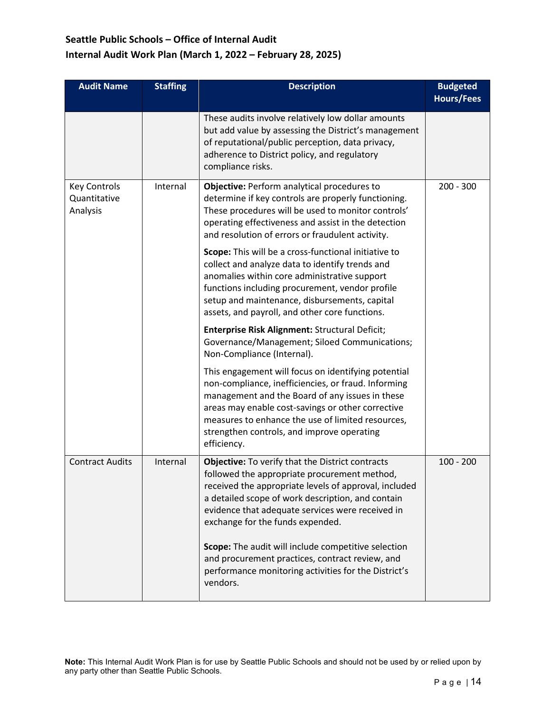| <b>Audit Name</b>                               | <b>Staffing</b> | <b>Description</b>                                                                                                                                                                                                                                                                                                                   | <b>Budgeted</b><br><b>Hours/Fees</b> |
|-------------------------------------------------|-----------------|--------------------------------------------------------------------------------------------------------------------------------------------------------------------------------------------------------------------------------------------------------------------------------------------------------------------------------------|--------------------------------------|
|                                                 |                 | These audits involve relatively low dollar amounts<br>but add value by assessing the District's management<br>of reputational/public perception, data privacy,<br>adherence to District policy, and regulatory<br>compliance risks.                                                                                                  |                                      |
| <b>Key Controls</b><br>Quantitative<br>Analysis | Internal        | Objective: Perform analytical procedures to<br>determine if key controls are properly functioning.<br>These procedures will be used to monitor controls'<br>operating effectiveness and assist in the detection<br>and resolution of errors or fraudulent activity.                                                                  | $200 - 300$                          |
|                                                 |                 | Scope: This will be a cross-functional initiative to<br>collect and analyze data to identify trends and<br>anomalies within core administrative support<br>functions including procurement, vendor profile<br>setup and maintenance, disbursements, capital<br>assets, and payroll, and other core functions.                        |                                      |
|                                                 |                 | Enterprise Risk Alignment: Structural Deficit;<br>Governance/Management; Siloed Communications;<br>Non-Compliance (Internal).                                                                                                                                                                                                        |                                      |
|                                                 |                 | This engagement will focus on identifying potential<br>non-compliance, inefficiencies, or fraud. Informing<br>management and the Board of any issues in these<br>areas may enable cost-savings or other corrective<br>measures to enhance the use of limited resources,<br>strengthen controls, and improve operating<br>efficiency. |                                      |
| <b>Contract Audits</b>                          | Internal        | Objective: To verify that the District contracts<br>followed the appropriate procurement method,<br>received the appropriate levels of approval, included<br>a detailed scope of work description, and contain<br>evidence that adequate services were received in<br>exchange for the funds expended.                               | $100 - 200$                          |
|                                                 |                 | Scope: The audit will include competitive selection<br>and procurement practices, contract review, and<br>performance monitoring activities for the District's<br>vendors.                                                                                                                                                           |                                      |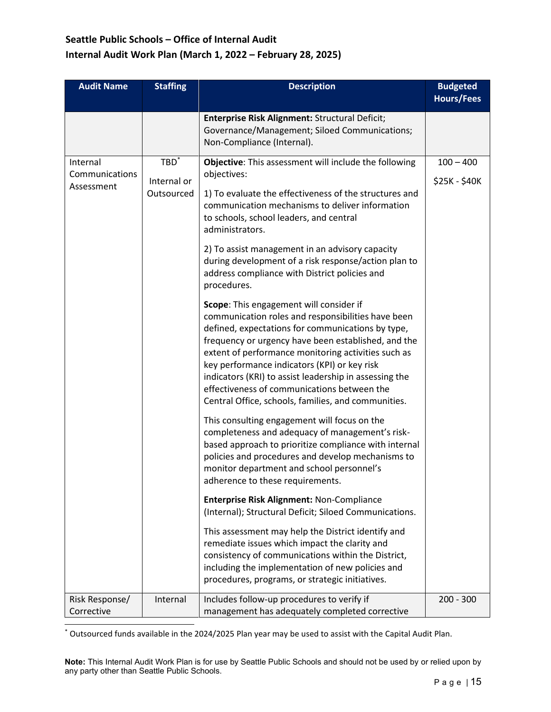| <b>Audit Name</b>                        | <b>Staffing</b>                      | <b>Description</b>                                                                                                                                                                                                                                                                                                                                                                                                                                                                                                                                                                                                                                                                                                                                                                                                                                                                                                                                                                                                                                                                                                                                                                                                                                                                                                                                                                                                                                                                                                                                                                          | <b>Budgeted</b><br><b>Hours/Fees</b> |
|------------------------------------------|--------------------------------------|---------------------------------------------------------------------------------------------------------------------------------------------------------------------------------------------------------------------------------------------------------------------------------------------------------------------------------------------------------------------------------------------------------------------------------------------------------------------------------------------------------------------------------------------------------------------------------------------------------------------------------------------------------------------------------------------------------------------------------------------------------------------------------------------------------------------------------------------------------------------------------------------------------------------------------------------------------------------------------------------------------------------------------------------------------------------------------------------------------------------------------------------------------------------------------------------------------------------------------------------------------------------------------------------------------------------------------------------------------------------------------------------------------------------------------------------------------------------------------------------------------------------------------------------------------------------------------------------|--------------------------------------|
|                                          |                                      | Enterprise Risk Alignment: Structural Deficit;<br>Governance/Management; Siloed Communications;<br>Non-Compliance (Internal).                                                                                                                                                                                                                                                                                                                                                                                                                                                                                                                                                                                                                                                                                                                                                                                                                                                                                                                                                                                                                                                                                                                                                                                                                                                                                                                                                                                                                                                               |                                      |
| Internal<br>Communications<br>Assessment | $TBD^*$<br>Internal or<br>Outsourced | Objective: This assessment will include the following<br>objectives:<br>1) To evaluate the effectiveness of the structures and<br>communication mechanisms to deliver information<br>to schools, school leaders, and central<br>administrators.<br>2) To assist management in an advisory capacity<br>during development of a risk response/action plan to<br>address compliance with District policies and<br>procedures.<br>Scope: This engagement will consider if<br>communication roles and responsibilities have been<br>defined, expectations for communications by type,<br>frequency or urgency have been established, and the<br>extent of performance monitoring activities such as<br>key performance indicators (KPI) or key risk<br>indicators (KRI) to assist leadership in assessing the<br>effectiveness of communications between the<br>Central Office, schools, families, and communities.<br>This consulting engagement will focus on the<br>completeness and adequacy of management's risk-<br>based approach to prioritize compliance with internal<br>policies and procedures and develop mechanisms to<br>monitor department and school personnel's<br>adherence to these requirements.<br>Enterprise Risk Alignment: Non-Compliance<br>(Internal); Structural Deficit; Siloed Communications.<br>This assessment may help the District identify and<br>remediate issues which impact the clarity and<br>consistency of communications within the District,<br>including the implementation of new policies and<br>procedures, programs, or strategic initiatives. | $100 - 400$<br>\$25K - \$40K         |
| Risk Response/<br>Corrective             | Internal                             | Includes follow-up procedures to verify if<br>management has adequately completed corrective                                                                                                                                                                                                                                                                                                                                                                                                                                                                                                                                                                                                                                                                                                                                                                                                                                                                                                                                                                                                                                                                                                                                                                                                                                                                                                                                                                                                                                                                                                | $200 - 300$                          |

\* Outsourced funds available in the 2024/2025 Plan year may be used to assist with the Capital Audit Plan.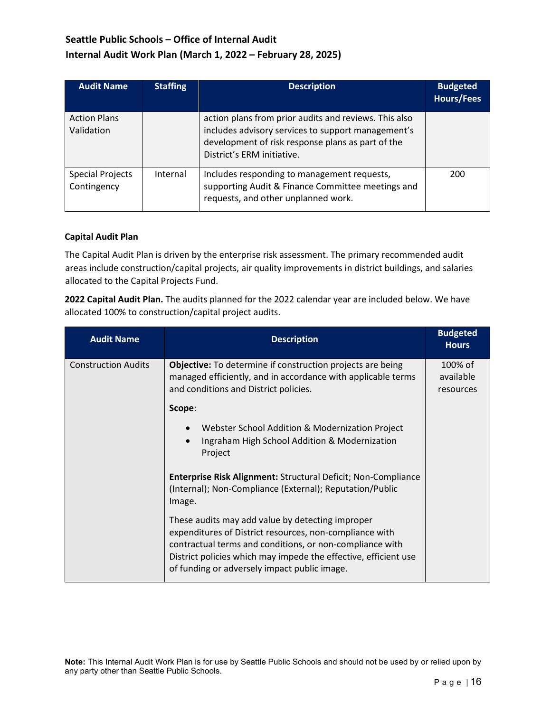| <b>Audit Name</b>                 | <b>Staffing</b> | <b>Description</b>                                                                                                                                                                             | <b>Budgeted</b><br><b>Hours/Fees</b> |
|-----------------------------------|-----------------|------------------------------------------------------------------------------------------------------------------------------------------------------------------------------------------------|--------------------------------------|
| <b>Action Plans</b><br>Validation |                 | action plans from prior audits and reviews. This also<br>includes advisory services to support management's<br>development of risk response plans as part of the<br>District's ERM initiative. |                                      |
| Special Projects<br>Contingency   | Internal        | Includes responding to management requests,<br>supporting Audit & Finance Committee meetings and<br>requests, and other unplanned work.                                                        | 200                                  |

#### **Capital Audit Plan**

The Capital Audit Plan is driven by the enterprise risk assessment. The primary recommended audit areas include construction/capital projects, air quality improvements in district buildings, and salaries allocated to the Capital Projects Fund.

**2022 Capital Audit Plan.** The audits planned for the 2022 calendar year are included below. We have allocated 100% to construction/capital project audits.

| <b>Audit Name</b>          | <b>Description</b>                                                                                                                                                                                                                                                                         | <b>Budgeted</b><br><b>Hours</b>   |
|----------------------------|--------------------------------------------------------------------------------------------------------------------------------------------------------------------------------------------------------------------------------------------------------------------------------------------|-----------------------------------|
| <b>Construction Audits</b> | <b>Objective:</b> To determine if construction projects are being<br>managed efficiently, and in accordance with applicable terms<br>and conditions and District policies.                                                                                                                 | 100% of<br>available<br>resources |
|                            | Scope:                                                                                                                                                                                                                                                                                     |                                   |
|                            | Webster School Addition & Modernization Project<br>Ingraham High School Addition & Modernization<br>$\bullet$<br>Project                                                                                                                                                                   |                                   |
|                            | Enterprise Risk Alignment: Structural Deficit; Non-Compliance<br>(Internal); Non-Compliance (External); Reputation/Public<br>Image.                                                                                                                                                        |                                   |
|                            | These audits may add value by detecting improper<br>expenditures of District resources, non-compliance with<br>contractual terms and conditions, or non-compliance with<br>District policies which may impede the effective, efficient use<br>of funding or adversely impact public image. |                                   |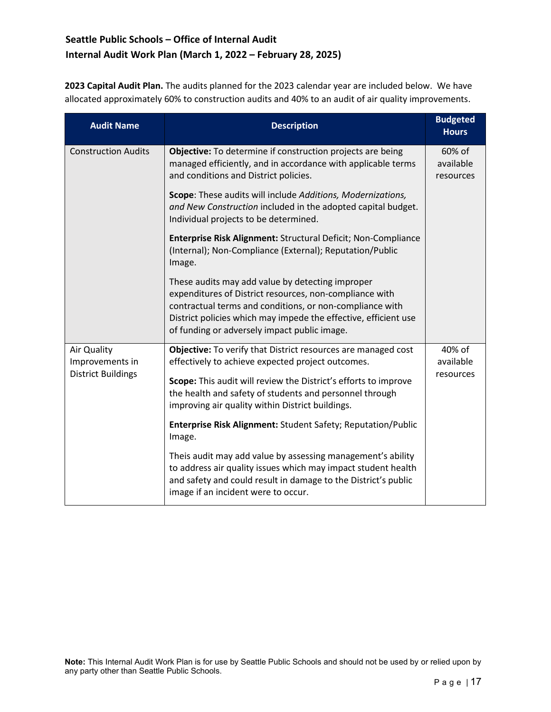**2023 Capital Audit Plan.** The audits planned for the 2023 calendar year are included below. We have allocated approximately 60% to construction audits and 40% to an audit of air quality improvements.

| <b>Audit Name</b>              | <b>Description</b>                                                                                                                                                                                                                                                                         | <b>Budgeted</b><br><b>Hours</b>  |
|--------------------------------|--------------------------------------------------------------------------------------------------------------------------------------------------------------------------------------------------------------------------------------------------------------------------------------------|----------------------------------|
| <b>Construction Audits</b>     | Objective: To determine if construction projects are being<br>managed efficiently, and in accordance with applicable terms<br>and conditions and District policies.                                                                                                                        | 60% of<br>available<br>resources |
|                                | Scope: These audits will include Additions, Modernizations,<br>and New Construction included in the adopted capital budget.<br>Individual projects to be determined.                                                                                                                       |                                  |
|                                | Enterprise Risk Alignment: Structural Deficit; Non-Compliance<br>(Internal); Non-Compliance (External); Reputation/Public<br>Image.                                                                                                                                                        |                                  |
|                                | These audits may add value by detecting improper<br>expenditures of District resources, non-compliance with<br>contractual terms and conditions, or non-compliance with<br>District policies which may impede the effective, efficient use<br>of funding or adversely impact public image. |                                  |
| Air Quality<br>Improvements in | Objective: To verify that District resources are managed cost<br>effectively to achieve expected project outcomes.                                                                                                                                                                         | 40% of<br>available<br>resources |
| <b>District Buildings</b>      | Scope: This audit will review the District's efforts to improve<br>the health and safety of students and personnel through<br>improving air quality within District buildings.                                                                                                             |                                  |
|                                | <b>Enterprise Risk Alignment: Student Safety; Reputation/Public</b><br>Image.                                                                                                                                                                                                              |                                  |
|                                | Theis audit may add value by assessing management's ability<br>to address air quality issues which may impact student health<br>and safety and could result in damage to the District's public<br>image if an incident were to occur.                                                      |                                  |